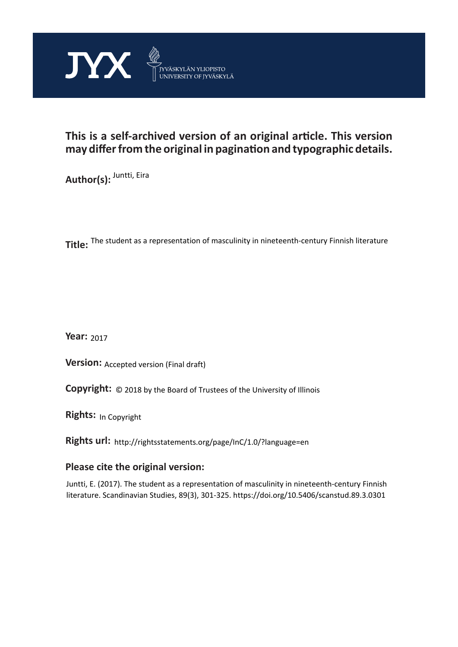

# **This is a self-archived version of an original article. This version may differ from the original in pagination and typographic details.**

**Author(s):** <sup>Juntti, Eira</sup>

**Title:**  The student as a representation of masculinity in nineteenth-century Finnish literature

**Year:**  2017

**Version: Accepted version (Final draft)** 

**Version:** Accepted version (Final draft)<br>**Copyright:** © 2018 by the Board of Trustees of the University of Illinois

**Rights:** In Copyright

**Rights url:**  http://rightsstatements.org/page/InC/1.0/?language=en

## **Please cite the original version:**

Juntti, E. (2017). The student as a representation of masculinity in nineteenth-century Finnish literature. Scandinavian Studies, 89(3), 301-325. https://doi.org/10.5406/scanstud.89.3.0301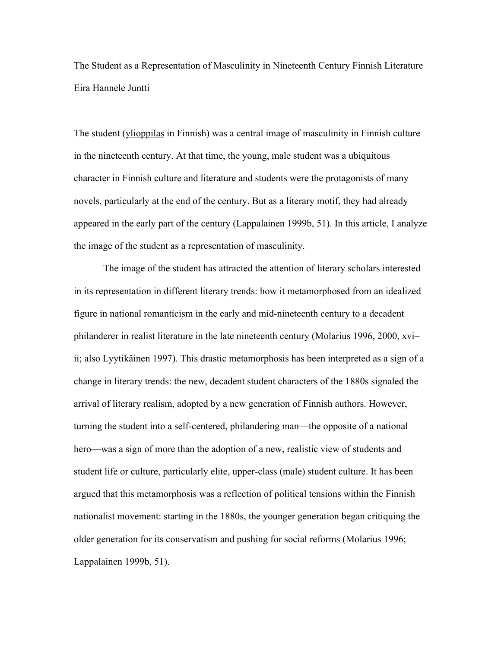The Student as a Representation of Masculinity in Nineteenth Century Finnish Literature Eira Hannele Juntti

The student (ylioppilas in Finnish) was a central image of masculinity in Finnish culture in the nineteenth century. At that time, the young, male student was a ubiquitous character in Finnish culture and literature and students were the protagonists of many novels, particularly at the end of the century. But as a literary motif, they had already appeared in the early part of the century (Lappalainen 1999b, 51). In this article, I analyze the image of the student as a representation of masculinity.

The image of the student has attracted the attention of literary scholars interested in its representation in different literary trends: how it metamorphosed from an idealized figure in national romanticism in the early and mid-nineteenth century to a decadent philanderer in realist literature in the late nineteenth century (Molarius 1996, 2000, xvi– ii; also Lyytikäinen 1997). This drastic metamorphosis has been interpreted as a sign of a change in literary trends: the new, decadent student characters of the 1880s signaled the arrival of literary realism, adopted by a new generation of Finnish authors. However, turning the student into a self-centered, philandering man—the opposite of a national hero—was a sign of more than the adoption of a new, realistic view of students and student life or culture, particularly elite, upper-class (male) student culture. It has been argued that this metamorphosis was a reflection of political tensions within the Finnish nationalist movement: starting in the 1880s, the younger generation began critiquing the older generation for its conservatism and pushing for social reforms (Molarius 1996; Lappalainen 1999b, 51).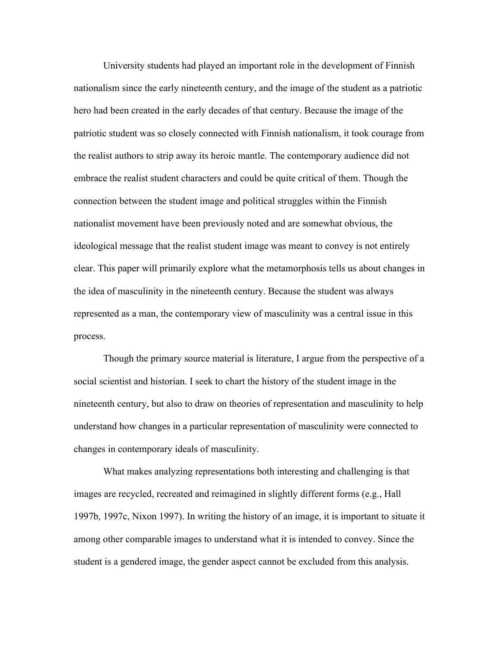University students had played an important role in the development of Finnish nationalism since the early nineteenth century, and the image of the student as a patriotic hero had been created in the early decades of that century. Because the image of the patriotic student was so closely connected with Finnish nationalism, it took courage from the realist authors to strip away its heroic mantle. The contemporary audience did not embrace the realist student characters and could be quite critical of them. Though the connection between the student image and political struggles within the Finnish nationalist movement have been previously noted and are somewhat obvious, the ideological message that the realist student image was meant to convey is not entirely clear. This paper will primarily explore what the metamorphosis tells us about changes in the idea of masculinity in the nineteenth century. Because the student was always represented as a man, the contemporary view of masculinity was a central issue in this process.

Though the primary source material is literature, I argue from the perspective of a social scientist and historian. I seek to chart the history of the student image in the nineteenth century, but also to draw on theories of representation and masculinity to help understand how changes in a particular representation of masculinity were connected to changes in contemporary ideals of masculinity.

What makes analyzing representations both interesting and challenging is that images are recycled, recreated and reimagined in slightly different forms (e.g., Hall 1997b, 1997c, Nixon 1997). In writing the history of an image, it is important to situate it among other comparable images to understand what it is intended to convey. Since the student is a gendered image, the gender aspect cannot be excluded from this analysis.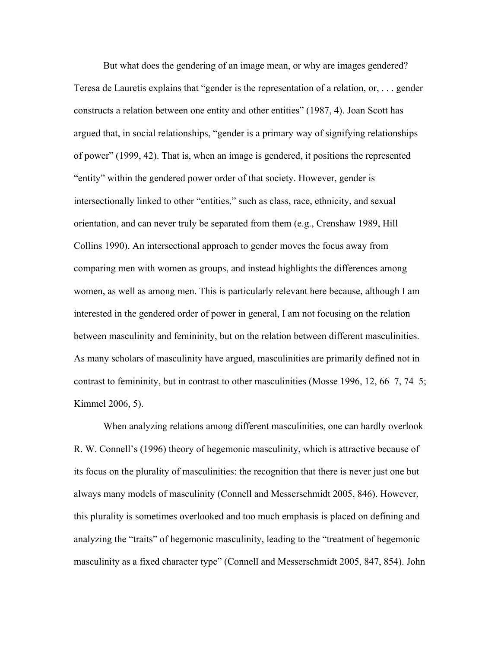But what does the gendering of an image mean, or why are images gendered? Teresa de Lauretis explains that "gender is the representation of a relation, or, . . . gender constructs a relation between one entity and other entities" (1987, 4). Joan Scott has argued that, in social relationships, "gender is a primary way of signifying relationships of power" (1999, 42). That is, when an image is gendered, it positions the represented "entity" within the gendered power order of that society. However, gender is intersectionally linked to other "entities," such as class, race, ethnicity, and sexual orientation, and can never truly be separated from them (e.g., Crenshaw 1989, Hill Collins 1990). An intersectional approach to gender moves the focus away from comparing men with women as groups, and instead highlights the differences among women, as well as among men. This is particularly relevant here because, although I am interested in the gendered order of power in general, I am not focusing on the relation between masculinity and femininity, but on the relation between different masculinities. As many scholars of masculinity have argued, masculinities are primarily defined not in contrast to femininity, but in contrast to other masculinities (Mosse 1996, 12, 66–7, 74–5; Kimmel 2006, 5).

When analyzing relations among different masculinities, one can hardly overlook R. W. Connell's (1996) theory of hegemonic masculinity, which is attractive because of its focus on the plurality of masculinities: the recognition that there is never just one but always many models of masculinity (Connell and Messerschmidt 2005, 846). However, this plurality is sometimes overlooked and too much emphasis is placed on defining and analyzing the "traits" of hegemonic masculinity, leading to the "treatment of hegemonic masculinity as a fixed character type" (Connell and Messerschmidt 2005, 847, 854). John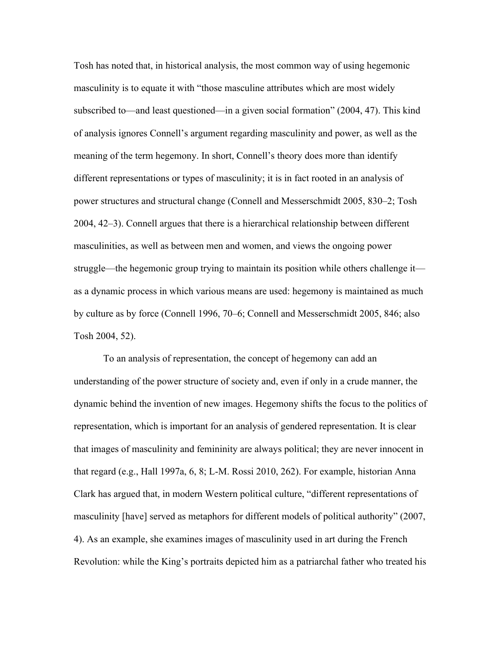Tosh has noted that, in historical analysis, the most common way of using hegemonic masculinity is to equate it with "those masculine attributes which are most widely subscribed to—and least questioned—in a given social formation" (2004, 47). This kind of analysis ignores Connell's argument regarding masculinity and power, as well as the meaning of the term hegemony. In short, Connell's theory does more than identify different representations or types of masculinity; it is in fact rooted in an analysis of power structures and structural change (Connell and Messerschmidt 2005, 830–2; Tosh 2004, 42–3). Connell argues that there is a hierarchical relationship between different masculinities, as well as between men and women, and views the ongoing power struggle—the hegemonic group trying to maintain its position while others challenge it as a dynamic process in which various means are used: hegemony is maintained as much by culture as by force (Connell 1996, 70–6; Connell and Messerschmidt 2005, 846; also Tosh 2004, 52).

To an analysis of representation, the concept of hegemony can add an understanding of the power structure of society and, even if only in a crude manner, the dynamic behind the invention of new images. Hegemony shifts the focus to the politics of representation, which is important for an analysis of gendered representation. It is clear that images of masculinity and femininity are always political; they are never innocent in that regard (e.g., Hall 1997a, 6, 8; L-M. Rossi 2010, 262). For example, historian Anna Clark has argued that, in modern Western political culture, "different representations of masculinity [have] served as metaphors for different models of political authority" (2007, 4). As an example, she examines images of masculinity used in art during the French Revolution: while the King's portraits depicted him as a patriarchal father who treated his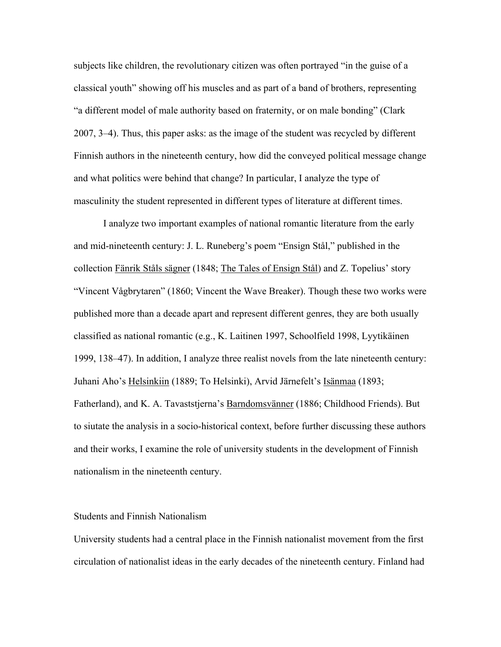subjects like children, the revolutionary citizen was often portrayed "in the guise of a classical youth" showing off his muscles and as part of a band of brothers, representing "a different model of male authority based on fraternity, or on male bonding" (Clark 2007, 3–4). Thus, this paper asks: as the image of the student was recycled by different Finnish authors in the nineteenth century, how did the conveyed political message change and what politics were behind that change? In particular, I analyze the type of masculinity the student represented in different types of literature at different times.

I analyze two important examples of national romantic literature from the early and mid-nineteenth century: J. L. Runeberg's poem "Ensign Stål," published in the collection Fänrik Ståls sägner (1848; The Tales of Ensign Stål) and Z. Topelius' story "Vincent Vågbrytaren" (1860; Vincent the Wave Breaker). Though these two works were published more than a decade apart and represent different genres, they are both usually classified as national romantic (e.g., K. Laitinen 1997, Schoolfield 1998, Lyytikäinen 1999, 138–47). In addition, I analyze three realist novels from the late nineteenth century: Juhani Aho's Helsinkiin (1889; To Helsinki), Arvid Järnefelt's Isänmaa (1893; Fatherland), and K. A. Tavaststjerna's Barndomsvänner (1886; Childhood Friends). But to siutate the analysis in a socio-historical context, before further discussing these authors and their works, I examine the role of university students in the development of Finnish nationalism in the nineteenth century.

## Students and Finnish Nationalism

University students had a central place in the Finnish nationalist movement from the first circulation of nationalist ideas in the early decades of the nineteenth century. Finland had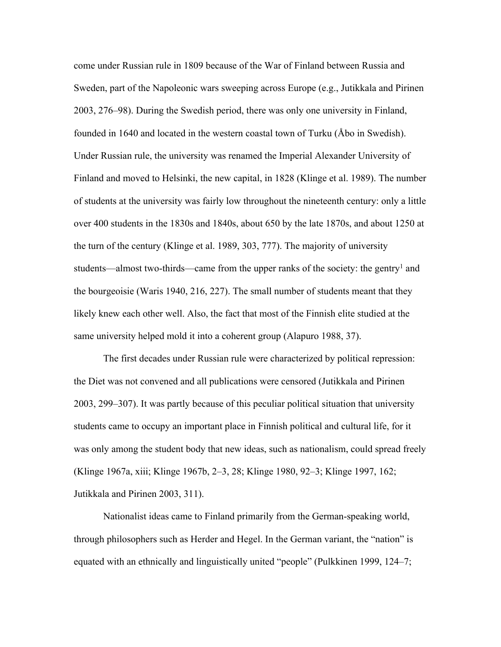come under Russian rule in 1809 because of the War of Finland between Russia and Sweden, part of the Napoleonic wars sweeping across Europe (e.g., Jutikkala and Pirinen 2003, 276–98). During the Swedish period, there was only one university in Finland, founded in 1640 and located in the western coastal town of Turku (Åbo in Swedish). Under Russian rule, the university was renamed the Imperial Alexander University of Finland and moved to Helsinki, the new capital, in 1828 (Klinge et al. 1989). The number of students at the university was fairly low throughout the nineteenth century: only a little over 400 students in the 1830s and 1840s, about 650 by the late 1870s, and about 1250 at the turn of the century (Klinge et al. 1989, 303, 777). The majority of university students—almost two-thirds—came from the upper ranks of the society: the gentry<sup>1</sup> and the bourgeoisie (Waris 1940, 216, 227). The small number of students meant that they likely knew each other well. Also, the fact that most of the Finnish elite studied at the same university helped mold it into a coherent group (Alapuro 1988, 37).

The first decades under Russian rule were characterized by political repression: the Diet was not convened and all publications were censored (Jutikkala and Pirinen 2003, 299–307). It was partly because of this peculiar political situation that university students came to occupy an important place in Finnish political and cultural life, for it was only among the student body that new ideas, such as nationalism, could spread freely (Klinge 1967a, xiii; Klinge 1967b, 2–3, 28; Klinge 1980, 92–3; Klinge 1997, 162; Jutikkala and Pirinen 2003, 311).

Nationalist ideas came to Finland primarily from the German-speaking world, through philosophers such as Herder and Hegel. In the German variant, the "nation" is equated with an ethnically and linguistically united "people" (Pulkkinen 1999, 124–7;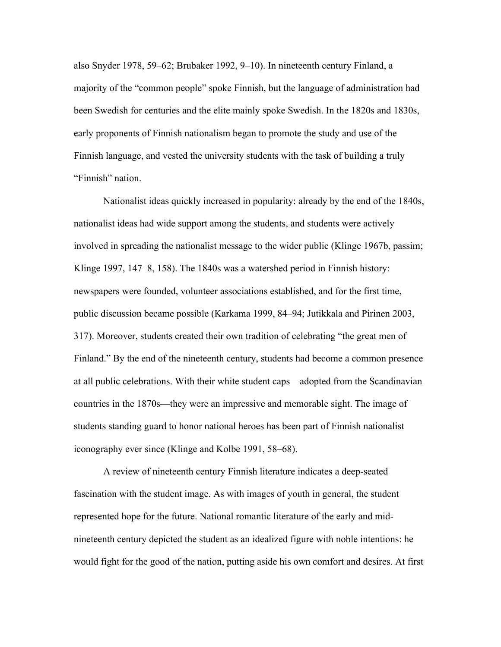also Snyder 1978, 59–62; Brubaker 1992, 9–10). In nineteenth century Finland, a majority of the "common people" spoke Finnish, but the language of administration had been Swedish for centuries and the elite mainly spoke Swedish. In the 1820s and 1830s, early proponents of Finnish nationalism began to promote the study and use of the Finnish language, and vested the university students with the task of building a truly "Finnish" nation.

Nationalist ideas quickly increased in popularity: already by the end of the 1840s, nationalist ideas had wide support among the students, and students were actively involved in spreading the nationalist message to the wider public (Klinge 1967b, passim; Klinge 1997, 147–8, 158). The 1840s was a watershed period in Finnish history: newspapers were founded, volunteer associations established, and for the first time, public discussion became possible (Karkama 1999, 84–94; Jutikkala and Pirinen 2003, 317). Moreover, students created their own tradition of celebrating "the great men of Finland." By the end of the nineteenth century, students had become a common presence at all public celebrations. With their white student caps—adopted from the Scandinavian countries in the 1870s—they were an impressive and memorable sight. The image of students standing guard to honor national heroes has been part of Finnish nationalist iconography ever since (Klinge and Kolbe 1991, 58–68).

A review of nineteenth century Finnish literature indicates a deep-seated fascination with the student image. As with images of youth in general, the student represented hope for the future. National romantic literature of the early and midnineteenth century depicted the student as an idealized figure with noble intentions: he would fight for the good of the nation, putting aside his own comfort and desires. At first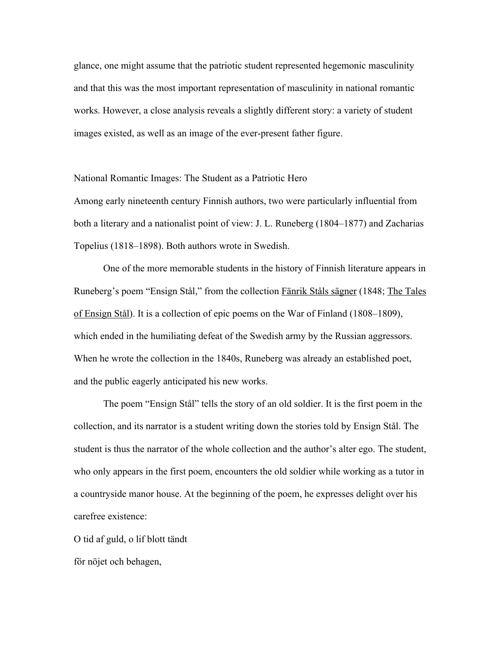glance, one might assume that the patriotic student represented hegemonic masculinity and that this was the most important representation of masculinity in national romantic works. However, a close analysis reveals a slightly different story: a variety of student images existed, as well as an image of the ever-present father figure.

National Romantic Images: The Student as a Patriotic Hero

Among early nineteenth century Finnish authors, two were particularly influential from both a literary and a nationalist point of view: J. L. Runeberg (1804–1877) and Zacharias Topelius (1818–1898). Both authors wrote in Swedish.

One of the more memorable students in the history of Finnish literature appears in Runeberg's poem "Ensign Stål," from the collection Fänrik Ståls sägner (1848; The Tales of Ensign Stål). It is a collection of epic poems on the War of Finland (1808–1809), which ended in the humiliating defeat of the Swedish army by the Russian aggressors. When he wrote the collection in the 1840s, Runeberg was already an established poet, and the public eagerly anticipated his new works.

The poem "Ensign Stål" tells the story of an old soldier. It is the first poem in the collection, and its narrator is a student writing down the stories told by Ensign Stål. The student is thus the narrator of the whole collection and the author's alter ego. The student, who only appears in the first poem, encounters the old soldier while working as a tutor in a countryside manor house. At the beginning of the poem, he expresses delight over his carefree existence:

O tid af guld, o lif blott tändt

för nöjet och behagen,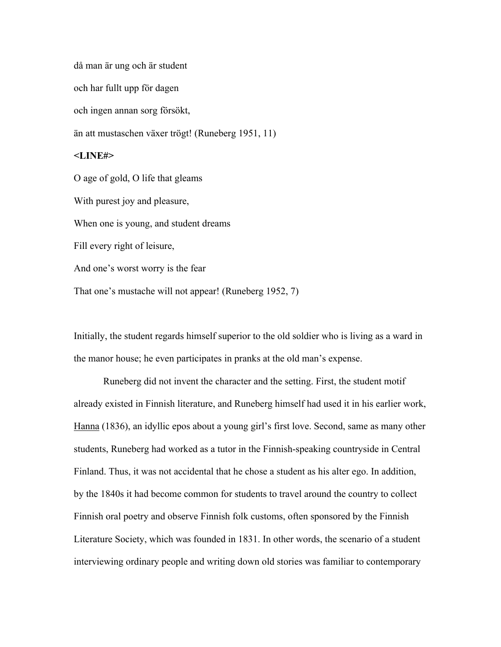då man är ung och är student och har fullt upp för dagen och ingen annan sorg försökt, än att mustaschen växer trögt! (Runeberg 1951, 11) **<LINE#>** O age of gold, O life that gleams With purest joy and pleasure, When one is young, and student dreams Fill every right of leisure, And one's worst worry is the fear That one's mustache will not appear! (Runeberg 1952, 7)

Initially, the student regards himself superior to the old soldier who is living as a ward in the manor house; he even participates in pranks at the old man's expense.

Runeberg did not invent the character and the setting. First, the student motif already existed in Finnish literature, and Runeberg himself had used it in his earlier work, Hanna (1836), an idyllic epos about a young girl's first love. Second, same as many other students, Runeberg had worked as a tutor in the Finnish-speaking countryside in Central Finland. Thus, it was not accidental that he chose a student as his alter ego. In addition, by the 1840s it had become common for students to travel around the country to collect Finnish oral poetry and observe Finnish folk customs, often sponsored by the Finnish Literature Society, which was founded in 1831. In other words, the scenario of a student interviewing ordinary people and writing down old stories was familiar to contemporary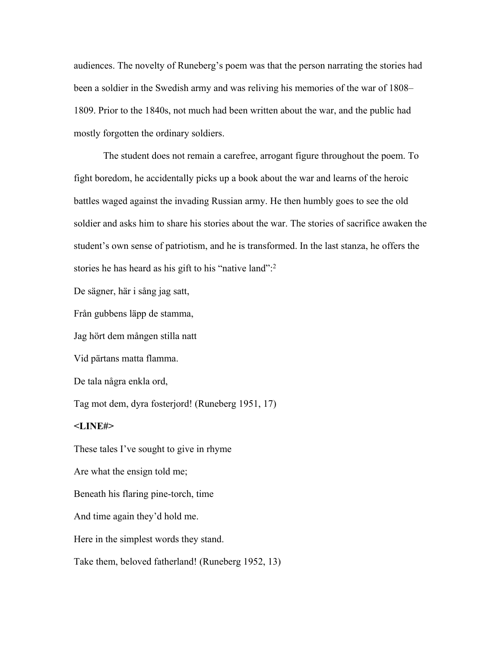audiences. The novelty of Runeberg's poem was that the person narrating the stories had been a soldier in the Swedish army and was reliving his memories of the war of 1808– 1809. Prior to the 1840s, not much had been written about the war, and the public had mostly forgotten the ordinary soldiers.

The student does not remain a carefree, arrogant figure throughout the poem. To fight boredom, he accidentally picks up a book about the war and learns of the heroic battles waged against the invading Russian army. He then humbly goes to see the old soldier and asks him to share his stories about the war. The stories of sacrifice awaken the student's own sense of patriotism, and he is transformed. In the last stanza, he offers the stories he has heard as his gift to his "native land":<sup>2</sup>

De sägner, här i sång jag satt,

Från gubbens läpp de stamma,

Jag hört dem mången stilla natt

Vid pärtans matta flamma.

De tala några enkla ord,

Tag mot dem, dyra fosterjord! (Runeberg 1951, 17)

#### **<LINE#>**

These tales I've sought to give in rhyme Are what the ensign told me; Beneath his flaring pine-torch, time And time again they'd hold me. Here in the simplest words they stand. Take them, beloved fatherland! (Runeberg 1952, 13)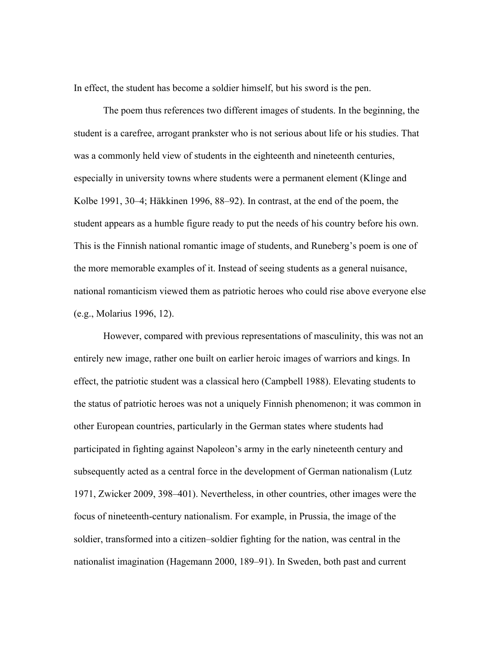In effect, the student has become a soldier himself, but his sword is the pen.

The poem thus references two different images of students. In the beginning, the student is a carefree, arrogant prankster who is not serious about life or his studies. That was a commonly held view of students in the eighteenth and nineteenth centuries, especially in university towns where students were a permanent element (Klinge and Kolbe 1991, 30–4; Häkkinen 1996, 88–92). In contrast, at the end of the poem, the student appears as a humble figure ready to put the needs of his country before his own. This is the Finnish national romantic image of students, and Runeberg's poem is one of the more memorable examples of it. Instead of seeing students as a general nuisance, national romanticism viewed them as patriotic heroes who could rise above everyone else (e.g., Molarius 1996, 12).

However, compared with previous representations of masculinity, this was not an entirely new image, rather one built on earlier heroic images of warriors and kings. In effect, the patriotic student was a classical hero (Campbell 1988). Elevating students to the status of patriotic heroes was not a uniquely Finnish phenomenon; it was common in other European countries, particularly in the German states where students had participated in fighting against Napoleon's army in the early nineteenth century and subsequently acted as a central force in the development of German nationalism (Lutz 1971, Zwicker 2009, 398–401). Nevertheless, in other countries, other images were the focus of nineteenth-century nationalism. For example, in Prussia, the image of the soldier, transformed into a citizen–soldier fighting for the nation, was central in the nationalist imagination (Hagemann 2000, 189–91). In Sweden, both past and current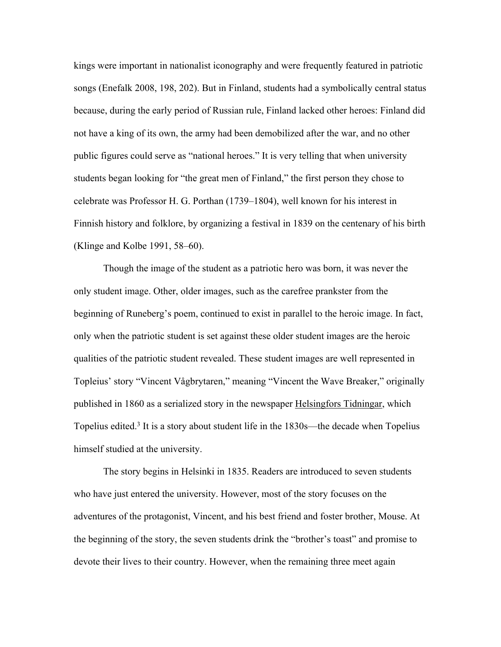kings were important in nationalist iconography and were frequently featured in patriotic songs (Enefalk 2008, 198, 202). But in Finland, students had a symbolically central status because, during the early period of Russian rule, Finland lacked other heroes: Finland did not have a king of its own, the army had been demobilized after the war, and no other public figures could serve as "national heroes." It is very telling that when university students began looking for "the great men of Finland," the first person they chose to celebrate was Professor H. G. Porthan (1739–1804), well known for his interest in Finnish history and folklore, by organizing a festival in 1839 on the centenary of his birth (Klinge and Kolbe 1991, 58–60).

Though the image of the student as a patriotic hero was born, it was never the only student image. Other, older images, such as the carefree prankster from the beginning of Runeberg's poem, continued to exist in parallel to the heroic image. In fact, only when the patriotic student is set against these older student images are the heroic qualities of the patriotic student revealed. These student images are well represented in Topleius' story "Vincent Vågbrytaren," meaning "Vincent the Wave Breaker," originally published in 1860 as a serialized story in the newspaper Helsingfors Tidningar, which Topelius edited.<sup>3</sup> It is a story about student life in the 1830s—the decade when Topelius himself studied at the university.

The story begins in Helsinki in 1835. Readers are introduced to seven students who have just entered the university. However, most of the story focuses on the adventures of the protagonist, Vincent, and his best friend and foster brother, Mouse. At the beginning of the story, the seven students drink the "brother's toast" and promise to devote their lives to their country. However, when the remaining three meet again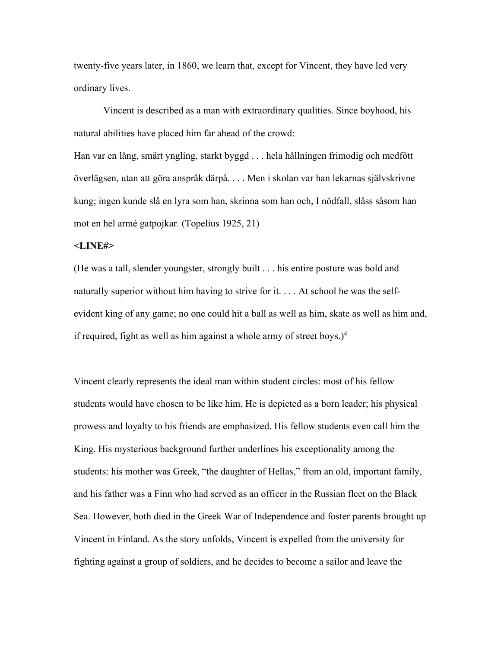twenty-five years later, in 1860, we learn that, except for Vincent, they have led very ordinary lives.

Vincent is described as a man with extraordinary qualities. Since boyhood, his natural abilities have placed him far ahead of the crowd:

Han var en lång, smärt yngling, starkt byggd . . . hela hållningen frimodig och medfött överlägsen, utan att göra anspråk därpå. . . . Men i skolan var han lekarnas självskrivne kung; ingen kunde slå en lyra som han, skrinna som han och, I nödfall, slåss såsom han mot en hel armé gatpojkar. (Topelius 1925, 21)

#### **<LINE#>**

(He was a tall, slender youngster, strongly built . . . his entire posture was bold and naturally superior without him having to strive for it. . . . At school he was the selfevident king of any game; no one could hit a ball as well as him, skate as well as him and, if required, fight as well as him against a whole army of street boys.)<sup>4</sup>

Vincent clearly represents the ideal man within student circles: most of his fellow students would have chosen to be like him. He is depicted as a born leader; his physical prowess and loyalty to his friends are emphasized. His fellow students even call him the King. His mysterious background further underlines his exceptionality among the students: his mother was Greek, "the daughter of Hellas," from an old, important family, and his father was a Finn who had served as an officer in the Russian fleet on the Black Sea. However, both died in the Greek War of Independence and foster parents brought up Vincent in Finland. As the story unfolds, Vincent is expelled from the university for fighting against a group of soldiers, and he decides to become a sailor and leave the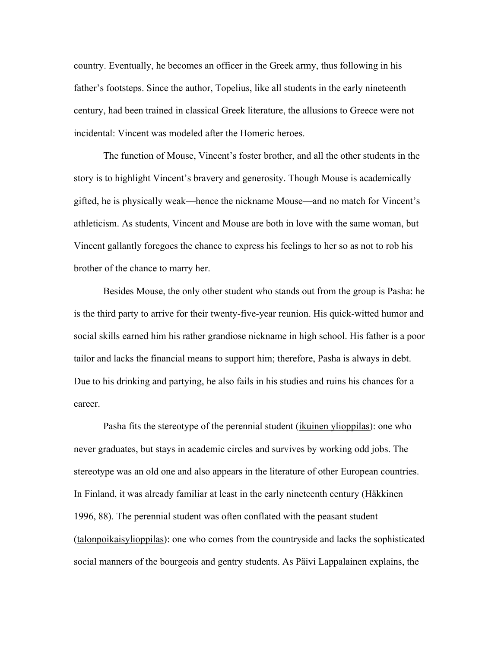country. Eventually, he becomes an officer in the Greek army, thus following in his father's footsteps. Since the author, Topelius, like all students in the early nineteenth century, had been trained in classical Greek literature, the allusions to Greece were not incidental: Vincent was modeled after the Homeric heroes.

The function of Mouse, Vincent's foster brother, and all the other students in the story is to highlight Vincent's bravery and generosity. Though Mouse is academically gifted, he is physically weak—hence the nickname Mouse—and no match for Vincent's athleticism. As students, Vincent and Mouse are both in love with the same woman, but Vincent gallantly foregoes the chance to express his feelings to her so as not to rob his brother of the chance to marry her.

Besides Mouse, the only other student who stands out from the group is Pasha: he is the third party to arrive for their twenty-five-year reunion. His quick-witted humor and social skills earned him his rather grandiose nickname in high school. His father is a poor tailor and lacks the financial means to support him; therefore, Pasha is always in debt. Due to his drinking and partying, he also fails in his studies and ruins his chances for a career.

Pasha fits the stereotype of the perennial student (*ikuinen ylioppilas*): one who never graduates, but stays in academic circles and survives by working odd jobs. The stereotype was an old one and also appears in the literature of other European countries. In Finland, it was already familiar at least in the early nineteenth century (Häkkinen 1996, 88). The perennial student was often conflated with the peasant student (talonpoikaisylioppilas): one who comes from the countryside and lacks the sophisticated social manners of the bourgeois and gentry students. As Päivi Lappalainen explains, the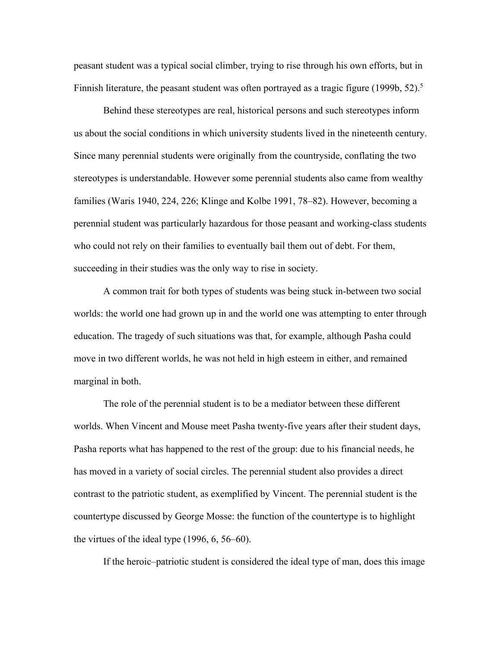peasant student was a typical social climber, trying to rise through his own efforts, but in Finnish literature, the peasant student was often portrayed as a tragic figure (1999b,  $52$ ).<sup>5</sup>

Behind these stereotypes are real, historical persons and such stereotypes inform us about the social conditions in which university students lived in the nineteenth century. Since many perennial students were originally from the countryside, conflating the two stereotypes is understandable. However some perennial students also came from wealthy families (Waris 1940, 224, 226; Klinge and Kolbe 1991, 78–82). However, becoming a perennial student was particularly hazardous for those peasant and working-class students who could not rely on their families to eventually bail them out of debt. For them, succeeding in their studies was the only way to rise in society.

A common trait for both types of students was being stuck in-between two social worlds: the world one had grown up in and the world one was attempting to enter through education. The tragedy of such situations was that, for example, although Pasha could move in two different worlds, he was not held in high esteem in either, and remained marginal in both.

The role of the perennial student is to be a mediator between these different worlds. When Vincent and Mouse meet Pasha twenty-five years after their student days, Pasha reports what has happened to the rest of the group: due to his financial needs, he has moved in a variety of social circles. The perennial student also provides a direct contrast to the patriotic student, as exemplified by Vincent. The perennial student is the countertype discussed by George Mosse: the function of the countertype is to highlight the virtues of the ideal type (1996, 6, 56–60).

If the heroic–patriotic student is considered the ideal type of man, does this image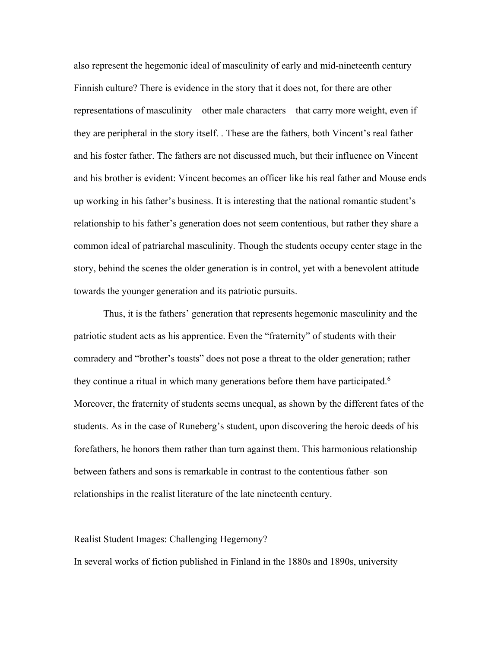also represent the hegemonic ideal of masculinity of early and mid-nineteenth century Finnish culture? There is evidence in the story that it does not, for there are other representations of masculinity—other male characters—that carry more weight, even if they are peripheral in the story itself. . These are the fathers, both Vincent's real father and his foster father. The fathers are not discussed much, but their influence on Vincent and his brother is evident: Vincent becomes an officer like his real father and Mouse ends up working in his father's business. It is interesting that the national romantic student's relationship to his father's generation does not seem contentious, but rather they share a common ideal of patriarchal masculinity. Though the students occupy center stage in the story, behind the scenes the older generation is in control, yet with a benevolent attitude towards the younger generation and its patriotic pursuits.

Thus, it is the fathers' generation that represents hegemonic masculinity and the patriotic student acts as his apprentice. Even the "fraternity" of students with their comradery and "brother's toasts" does not pose a threat to the older generation; rather they continue a ritual in which many generations before them have participated.<sup>6</sup> Moreover, the fraternity of students seems unequal, as shown by the different fates of the students. As in the case of Runeberg's student, upon discovering the heroic deeds of his forefathers, he honors them rather than turn against them. This harmonious relationship between fathers and sons is remarkable in contrast to the contentious father–son relationships in the realist literature of the late nineteenth century.

## Realist Student Images: Challenging Hegemony?

In several works of fiction published in Finland in the 1880s and 1890s, university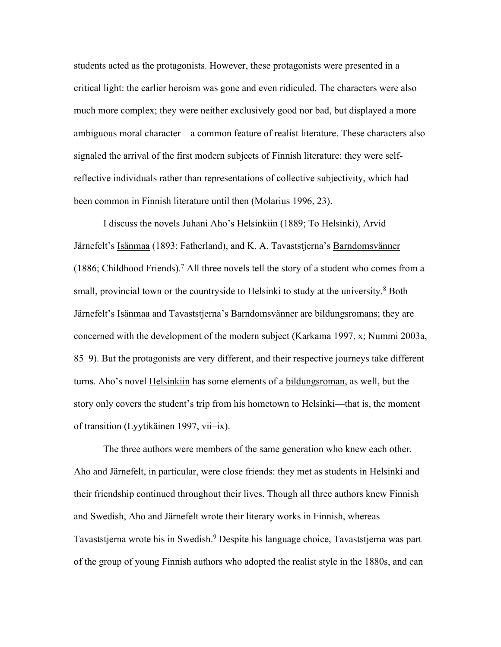students acted as the protagonists. However, these protagonists were presented in a critical light: the earlier heroism was gone and even ridiculed. The characters were also much more complex; they were neither exclusively good nor bad, but displayed a more ambiguous moral character—a common feature of realist literature. These characters also signaled the arrival of the first modern subjects of Finnish literature: they were selfreflective individuals rather than representations of collective subjectivity, which had been common in Finnish literature until then (Molarius 1996, 23).

I discuss the novels Juhani Aho's Helsinkiin (1889; To Helsinki), Arvid Järnefelt's Isänmaa (1893; Fatherland), and K. A. Tavaststjerna's Barndomsvänner (1886; Childhood Friends).<sup>7</sup> All three novels tell the story of a student who comes from a small, provincial town or the countryside to Helsinki to study at the university.<sup>8</sup> Both Järnefelt's Isänmaa and Tavaststjerna's Barndomsvänner are bildungsromans; they are concerned with the development of the modern subject (Karkama 1997, x; Nummi 2003a, 85–9). But the protagonists are very different, and their respective journeys take different turns. Aho's novel Helsinkiin has some elements of a bildungsroman, as well, but the story only covers the student's trip from his hometown to Helsinki—that is, the moment of transition (Lyytikäinen 1997, vii–ix).

The three authors were members of the same generation who knew each other. Aho and Järnefelt, in particular, were close friends: they met as students in Helsinki and their friendship continued throughout their lives. Though all three authors knew Finnish and Swedish, Aho and Järnefelt wrote their literary works in Finnish, whereas Tavaststjerna wrote his in Swedish.<sup>9</sup> Despite his language choice, Tavaststjerna was part of the group of young Finnish authors who adopted the realist style in the 1880s, and can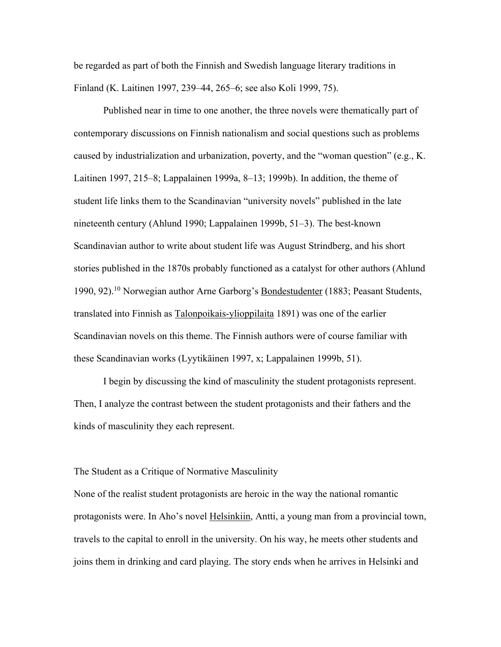be regarded as part of both the Finnish and Swedish language literary traditions in Finland (K. Laitinen 1997, 239–44, 265–6; see also Koli 1999, 75).

Published near in time to one another, the three novels were thematically part of contemporary discussions on Finnish nationalism and social questions such as problems caused by industrialization and urbanization, poverty, and the "woman question" (e.g., K. Laitinen 1997, 215–8; Lappalainen 1999a, 8–13; 1999b). In addition, the theme of student life links them to the Scandinavian "university novels" published in the late nineteenth century (Ahlund 1990; Lappalainen 1999b, 51–3). The best-known Scandinavian author to write about student life was August Strindberg, and his short stories published in the 1870s probably functioned as a catalyst for other authors (Ahlund 1990, 92).10 Norwegian author Arne Garborg's Bondestudenter (1883; Peasant Students, translated into Finnish as Talonpoikais-ylioppilaita 1891) was one of the earlier Scandinavian novels on this theme. The Finnish authors were of course familiar with these Scandinavian works (Lyytikäinen 1997, x; Lappalainen 1999b, 51).

I begin by discussing the kind of masculinity the student protagonists represent. Then, I analyze the contrast between the student protagonists and their fathers and the kinds of masculinity they each represent.

The Student as a Critique of Normative Masculinity

None of the realist student protagonists are heroic in the way the national romantic protagonists were. In Aho's novel Helsinkiin, Antti, a young man from a provincial town, travels to the capital to enroll in the university. On his way, he meets other students and joins them in drinking and card playing. The story ends when he arrives in Helsinki and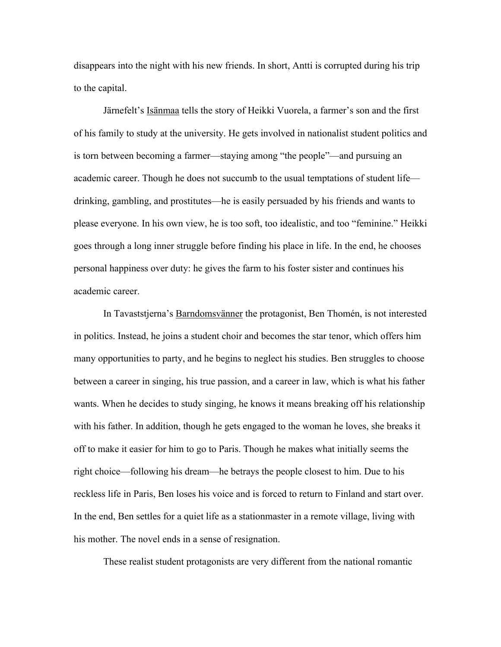disappears into the night with his new friends. In short, Antti is corrupted during his trip to the capital.

Järnefelt's Isänmaa tells the story of Heikki Vuorela, a farmer's son and the first of his family to study at the university. He gets involved in nationalist student politics and is torn between becoming a farmer—staying among "the people"—and pursuing an academic career. Though he does not succumb to the usual temptations of student life drinking, gambling, and prostitutes—he is easily persuaded by his friends and wants to please everyone. In his own view, he is too soft, too idealistic, and too "feminine." Heikki goes through a long inner struggle before finding his place in life. In the end, he chooses personal happiness over duty: he gives the farm to his foster sister and continues his academic career.

In Tavaststjerna's Barndomsvänner the protagonist, Ben Thomén, is not interested in politics. Instead, he joins a student choir and becomes the star tenor, which offers him many opportunities to party, and he begins to neglect his studies. Ben struggles to choose between a career in singing, his true passion, and a career in law, which is what his father wants. When he decides to study singing, he knows it means breaking off his relationship with his father. In addition, though he gets engaged to the woman he loves, she breaks it off to make it easier for him to go to Paris. Though he makes what initially seems the right choice—following his dream—he betrays the people closest to him. Due to his reckless life in Paris, Ben loses his voice and is forced to return to Finland and start over. In the end, Ben settles for a quiet life as a stationmaster in a remote village, living with his mother. The novel ends in a sense of resignation.

These realist student protagonists are very different from the national romantic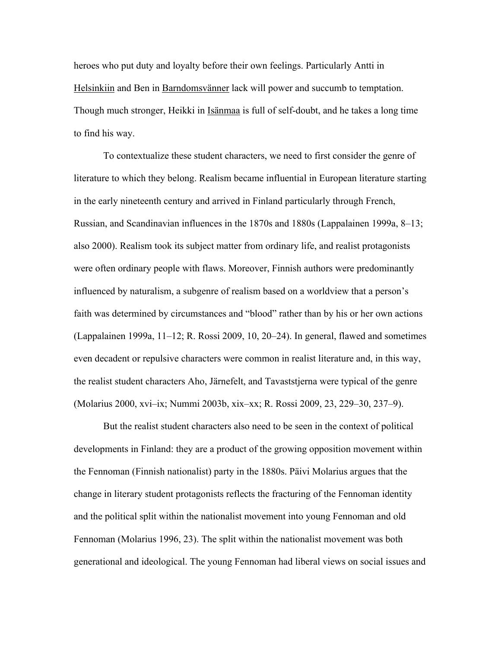heroes who put duty and loyalty before their own feelings. Particularly Antti in Helsinkiin and Ben in Barndomsvänner lack will power and succumb to temptation. Though much stronger, Heikki in Isänmaa is full of self-doubt, and he takes a long time to find his way.

To contextualize these student characters, we need to first consider the genre of literature to which they belong. Realism became influential in European literature starting in the early nineteenth century and arrived in Finland particularly through French, Russian, and Scandinavian influences in the 1870s and 1880s (Lappalainen 1999a, 8–13; also 2000). Realism took its subject matter from ordinary life, and realist protagonists were often ordinary people with flaws. Moreover, Finnish authors were predominantly influenced by naturalism, a subgenre of realism based on a worldview that a person's faith was determined by circumstances and "blood" rather than by his or her own actions (Lappalainen 1999a, 11–12; R. Rossi 2009, 10, 20–24). In general, flawed and sometimes even decadent or repulsive characters were common in realist literature and, in this way, the realist student characters Aho, Järnefelt, and Tavaststjerna were typical of the genre (Molarius 2000, xvi–ix; Nummi 2003b, xix–xx; R. Rossi 2009, 23, 229–30, 237–9).

But the realist student characters also need to be seen in the context of political developments in Finland: they are a product of the growing opposition movement within the Fennoman (Finnish nationalist) party in the 1880s. Päivi Molarius argues that the change in literary student protagonists reflects the fracturing of the Fennoman identity and the political split within the nationalist movement into young Fennoman and old Fennoman (Molarius 1996, 23). The split within the nationalist movement was both generational and ideological. The young Fennoman had liberal views on social issues and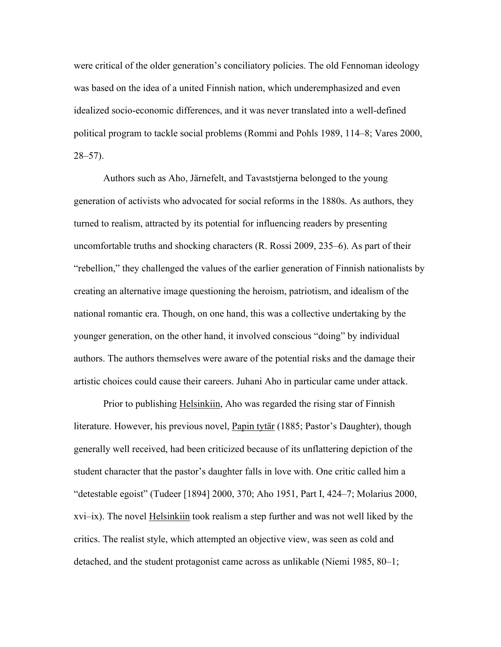were critical of the older generation's conciliatory policies. The old Fennoman ideology was based on the idea of a united Finnish nation, which underemphasized and even idealized socio-economic differences, and it was never translated into a well-defined political program to tackle social problems (Rommi and Pohls 1989, 114–8; Vares 2000,  $28 - 57$ ).

Authors such as Aho, Järnefelt, and Tavaststjerna belonged to the young generation of activists who advocated for social reforms in the 1880s. As authors, they turned to realism, attracted by its potential for influencing readers by presenting uncomfortable truths and shocking characters (R. Rossi 2009, 235–6). As part of their "rebellion," they challenged the values of the earlier generation of Finnish nationalists by creating an alternative image questioning the heroism, patriotism, and idealism of the national romantic era. Though, on one hand, this was a collective undertaking by the younger generation, on the other hand, it involved conscious "doing" by individual authors. The authors themselves were aware of the potential risks and the damage their artistic choices could cause their careers. Juhani Aho in particular came under attack.

Prior to publishing Helsinkiin, Aho was regarded the rising star of Finnish literature. However, his previous novel, Papin tytär (1885; Pastor's Daughter), though generally well received, had been criticized because of its unflattering depiction of the student character that the pastor's daughter falls in love with. One critic called him a "detestable egoist" (Tudeer [1894] 2000, 370; Aho 1951, Part I, 424–7; Molarius 2000, xvi–ix). The novel Helsinkiin took realism a step further and was not well liked by the critics. The realist style, which attempted an objective view, was seen as cold and detached, and the student protagonist came across as unlikable (Niemi 1985, 80–1;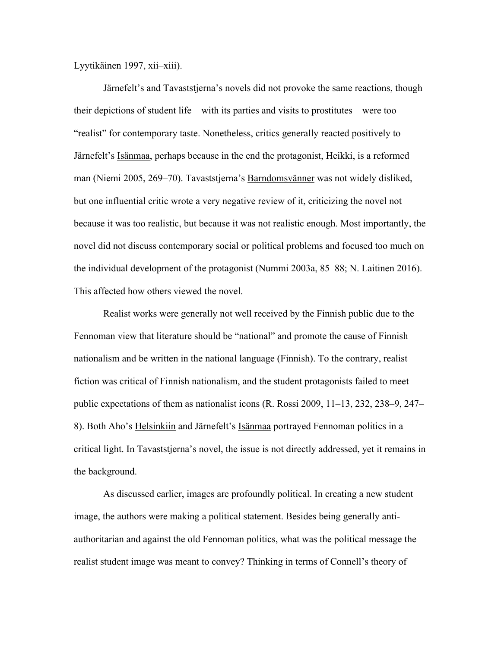Lyytikäinen 1997, xii–xiii).

Järnefelt's and Tavaststjerna's novels did not provoke the same reactions, though their depictions of student life—with its parties and visits to prostitutes—were too "realist" for contemporary taste. Nonetheless, critics generally reacted positively to Järnefelt's Isänmaa, perhaps because in the end the protagonist, Heikki, is a reformed man (Niemi 2005, 269–70). Tavaststjerna's Barndomsvänner was not widely disliked, but one influential critic wrote a very negative review of it, criticizing the novel not because it was too realistic, but because it was not realistic enough. Most importantly, the novel did not discuss contemporary social or political problems and focused too much on the individual development of the protagonist (Nummi 2003a, 85–88; N. Laitinen 2016). This affected how others viewed the novel.

Realist works were generally not well received by the Finnish public due to the Fennoman view that literature should be "national" and promote the cause of Finnish nationalism and be written in the national language (Finnish). To the contrary, realist fiction was critical of Finnish nationalism, and the student protagonists failed to meet public expectations of them as nationalist icons (R. Rossi 2009, 11–13, 232, 238–9, 247– 8). Both Aho's Helsinkiin and Järnefelt's Isänmaa portrayed Fennoman politics in a critical light. In Tavaststjerna's novel, the issue is not directly addressed, yet it remains in the background.

As discussed earlier, images are profoundly political. In creating a new student image, the authors were making a political statement. Besides being generally antiauthoritarian and against the old Fennoman politics, what was the political message the realist student image was meant to convey? Thinking in terms of Connell's theory of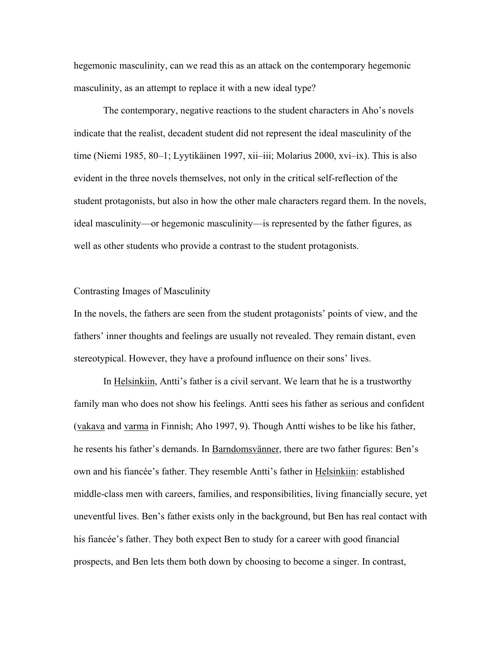hegemonic masculinity, can we read this as an attack on the contemporary hegemonic masculinity, as an attempt to replace it with a new ideal type?

The contemporary, negative reactions to the student characters in Aho's novels indicate that the realist, decadent student did not represent the ideal masculinity of the time (Niemi 1985, 80–1; Lyytikäinen 1997, xii–iii; Molarius 2000, xvi–ix). This is also evident in the three novels themselves, not only in the critical self-reflection of the student protagonists, but also in how the other male characters regard them. In the novels, ideal masculinity—or hegemonic masculinity—is represented by the father figures, as well as other students who provide a contrast to the student protagonists.

#### Contrasting Images of Masculinity

In the novels, the fathers are seen from the student protagonists' points of view, and the fathers' inner thoughts and feelings are usually not revealed. They remain distant, even stereotypical. However, they have a profound influence on their sons' lives.

In Helsinkiin, Antti's father is a civil servant. We learn that he is a trustworthy family man who does not show his feelings. Antti sees his father as serious and confident (vakava and varma in Finnish; Aho 1997, 9). Though Antti wishes to be like his father, he resents his father's demands. In Barndomsvänner, there are two father figures: Ben's own and his fiancée's father. They resemble Antti's father in Helsinkiin: established middle-class men with careers, families, and responsibilities, living financially secure, yet uneventful lives. Ben's father exists only in the background, but Ben has real contact with his fiancée's father. They both expect Ben to study for a career with good financial prospects, and Ben lets them both down by choosing to become a singer. In contrast,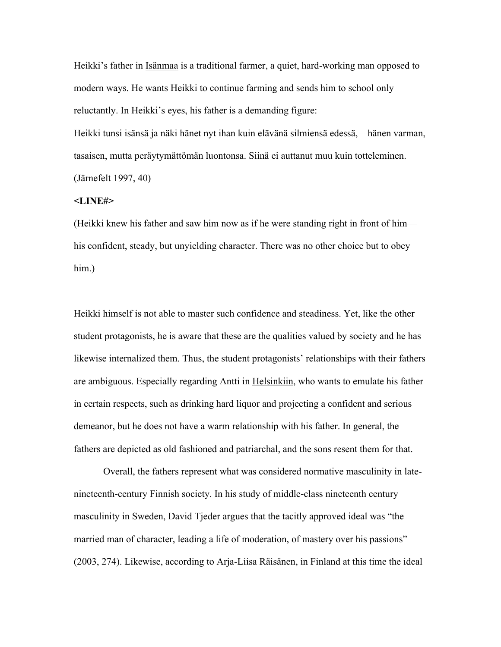Heikki's father in Isänmaa is a traditional farmer, a quiet, hard-working man opposed to modern ways. He wants Heikki to continue farming and sends him to school only reluctantly. In Heikki's eyes, his father is a demanding figure:

Heikki tunsi isänsä ja näki hänet nyt ihan kuin elävänä silmiensä edessä,—hänen varman, tasaisen, mutta peräytymättömän luontonsa. Siinä ei auttanut muu kuin totteleminen. (Järnefelt 1997, 40)

#### **<LINE#>**

(Heikki knew his father and saw him now as if he were standing right in front of him his confident, steady, but unyielding character. There was no other choice but to obey him.)

Heikki himself is not able to master such confidence and steadiness. Yet, like the other student protagonists, he is aware that these are the qualities valued by society and he has likewise internalized them. Thus, the student protagonists' relationships with their fathers are ambiguous. Especially regarding Antti in Helsinkiin, who wants to emulate his father in certain respects, such as drinking hard liquor and projecting a confident and serious demeanor, but he does not have a warm relationship with his father. In general, the fathers are depicted as old fashioned and patriarchal, and the sons resent them for that.

Overall, the fathers represent what was considered normative masculinity in latenineteenth-century Finnish society. In his study of middle-class nineteenth century masculinity in Sweden, David Tjeder argues that the tacitly approved ideal was "the married man of character, leading a life of moderation, of mastery over his passions" (2003, 274). Likewise, according to Arja-Liisa Räisänen, in Finland at this time the ideal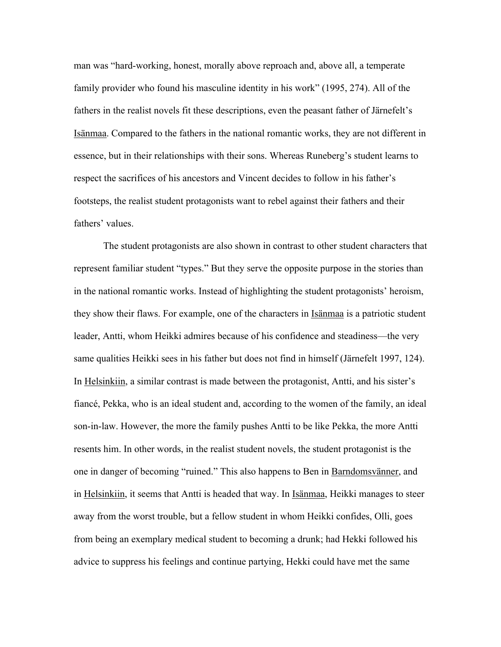man was "hard-working, honest, morally above reproach and, above all, a temperate family provider who found his masculine identity in his work" (1995, 274). All of the fathers in the realist novels fit these descriptions, even the peasant father of Järnefelt's Isänmaa. Compared to the fathers in the national romantic works, they are not different in essence, but in their relationships with their sons. Whereas Runeberg's student learns to respect the sacrifices of his ancestors and Vincent decides to follow in his father's footsteps, the realist student protagonists want to rebel against their fathers and their fathers' values.

The student protagonists are also shown in contrast to other student characters that represent familiar student "types." But they serve the opposite purpose in the stories than in the national romantic works. Instead of highlighting the student protagonists' heroism, they show their flaws. For example, one of the characters in Isänmaa is a patriotic student leader, Antti, whom Heikki admires because of his confidence and steadiness—the very same qualities Heikki sees in his father but does not find in himself (Järnefelt 1997, 124). In Helsinkiin, a similar contrast is made between the protagonist, Antti, and his sister's fiancé, Pekka, who is an ideal student and, according to the women of the family, an ideal son-in-law. However, the more the family pushes Antti to be like Pekka, the more Antti resents him. In other words, in the realist student novels, the student protagonist is the one in danger of becoming "ruined." This also happens to Ben in Barndomsvänner, and in Helsinkiin, it seems that Antti is headed that way. In Isänmaa, Heikki manages to steer away from the worst trouble, but a fellow student in whom Heikki confides, Olli, goes from being an exemplary medical student to becoming a drunk; had Hekki followed his advice to suppress his feelings and continue partying, Hekki could have met the same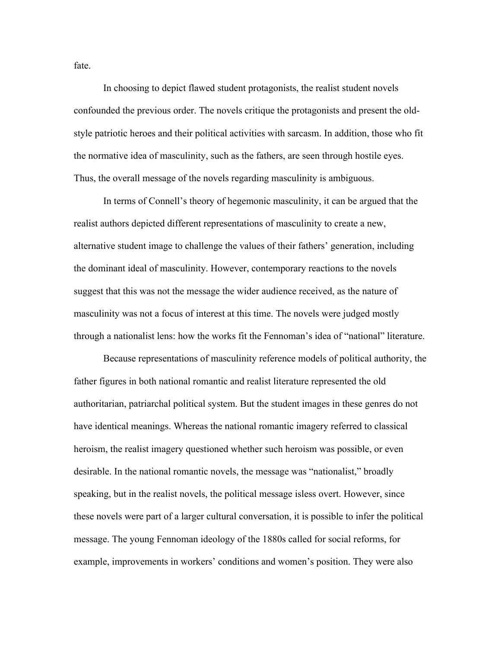In choosing to depict flawed student protagonists, the realist student novels confounded the previous order. The novels critique the protagonists and present the oldstyle patriotic heroes and their political activities with sarcasm. In addition, those who fit the normative idea of masculinity, such as the fathers, are seen through hostile eyes. Thus, the overall message of the novels regarding masculinity is ambiguous.

In terms of Connell's theory of hegemonic masculinity, it can be argued that the realist authors depicted different representations of masculinity to create a new, alternative student image to challenge the values of their fathers' generation, including the dominant ideal of masculinity. However, contemporary reactions to the novels suggest that this was not the message the wider audience received, as the nature of masculinity was not a focus of interest at this time. The novels were judged mostly through a nationalist lens: how the works fit the Fennoman's idea of "national" literature.

Because representations of masculinity reference models of political authority, the father figures in both national romantic and realist literature represented the old authoritarian, patriarchal political system. But the student images in these genres do not have identical meanings. Whereas the national romantic imagery referred to classical heroism, the realist imagery questioned whether such heroism was possible, or even desirable. In the national romantic novels, the message was "nationalist," broadly speaking, but in the realist novels, the political message isless overt. However, since these novels were part of a larger cultural conversation, it is possible to infer the political message. The young Fennoman ideology of the 1880s called for social reforms, for example, improvements in workers' conditions and women's position. They were also

fate.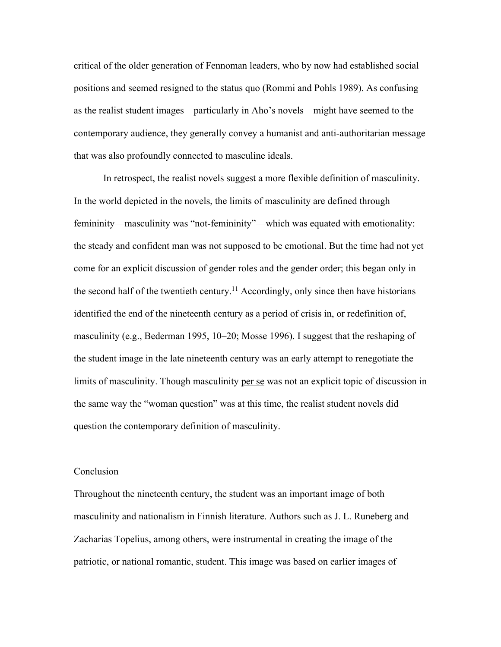critical of the older generation of Fennoman leaders, who by now had established social positions and seemed resigned to the status quo (Rommi and Pohls 1989). As confusing as the realist student images—particularly in Aho's novels—might have seemed to the contemporary audience, they generally convey a humanist and anti-authoritarian message that was also profoundly connected to masculine ideals.

In retrospect, the realist novels suggest a more flexible definition of masculinity. In the world depicted in the novels, the limits of masculinity are defined through femininity—masculinity was "not-femininity"—which was equated with emotionality: the steady and confident man was not supposed to be emotional. But the time had not yet come for an explicit discussion of gender roles and the gender order; this began only in the second half of the twentieth century.<sup>11</sup> Accordingly, only since then have historians identified the end of the nineteenth century as a period of crisis in, or redefinition of, masculinity (e.g., Bederman 1995, 10–20; Mosse 1996). I suggest that the reshaping of the student image in the late nineteenth century was an early attempt to renegotiate the limits of masculinity. Though masculinity per se was not an explicit topic of discussion in the same way the "woman question" was at this time, the realist student novels did question the contemporary definition of masculinity.

## Conclusion

Throughout the nineteenth century, the student was an important image of both masculinity and nationalism in Finnish literature. Authors such as J. L. Runeberg and Zacharias Topelius, among others, were instrumental in creating the image of the patriotic, or national romantic, student. This image was based on earlier images of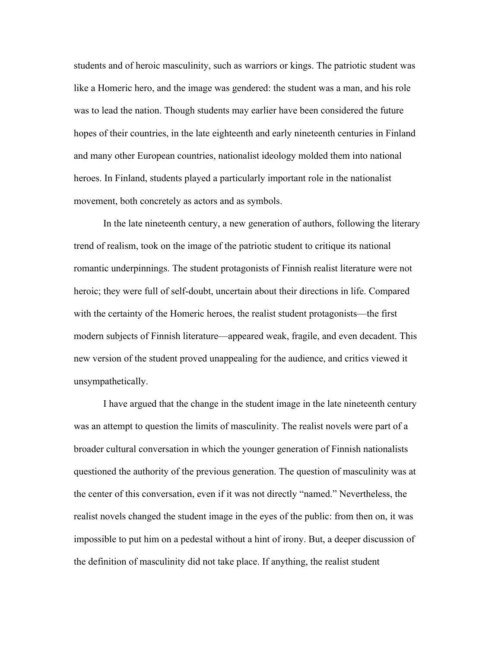students and of heroic masculinity, such as warriors or kings. The patriotic student was like a Homeric hero, and the image was gendered: the student was a man, and his role was to lead the nation. Though students may earlier have been considered the future hopes of their countries, in the late eighteenth and early nineteenth centuries in Finland and many other European countries, nationalist ideology molded them into national heroes. In Finland, students played a particularly important role in the nationalist movement, both concretely as actors and as symbols.

In the late nineteenth century, a new generation of authors, following the literary trend of realism, took on the image of the patriotic student to critique its national romantic underpinnings. The student protagonists of Finnish realist literature were not heroic; they were full of self-doubt, uncertain about their directions in life. Compared with the certainty of the Homeric heroes, the realist student protagonists—the first modern subjects of Finnish literature—appeared weak, fragile, and even decadent. This new version of the student proved unappealing for the audience, and critics viewed it unsympathetically.

I have argued that the change in the student image in the late nineteenth century was an attempt to question the limits of masculinity. The realist novels were part of a broader cultural conversation in which the younger generation of Finnish nationalists questioned the authority of the previous generation. The question of masculinity was at the center of this conversation, even if it was not directly "named." Nevertheless, the realist novels changed the student image in the eyes of the public: from then on, it was impossible to put him on a pedestal without a hint of irony. But, a deeper discussion of the definition of masculinity did not take place. If anything, the realist student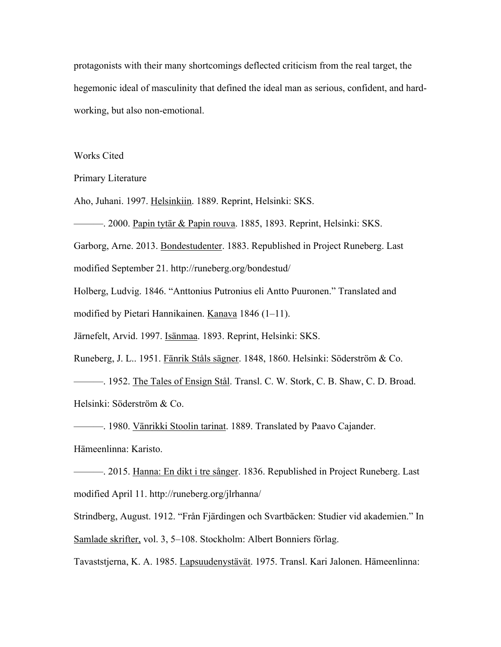protagonists with their many shortcomings deflected criticism from the real target, the hegemonic ideal of masculinity that defined the ideal man as serious, confident, and hardworking, but also non-emotional.

## Works Cited

Primary Literature

Aho, Juhani. 1997. Helsinkiin. 1889. Reprint, Helsinki: SKS.

———. 2000. Papin tytär & Papin rouva. 1885, 1893. Reprint, Helsinki: SKS.

Garborg, Arne. 2013. Bondestudenter. 1883. Republished in Project Runeberg. Last

modified September 21. http://runeberg.org/bondestud/

Holberg, Ludvig. 1846. "Anttonius Putronius eli Antto Puuronen." Translated and modified by Pietari Hannikainen. Kanava 1846 (1-11).

Järnefelt, Arvid. 1997. Isänmaa. 1893. Reprint, Helsinki: SKS.

Runeberg, J. L.. 1951. Fänrik Ståls sägner. 1848, 1860. Helsinki: Söderström & Co.

———. 1952. The Tales of Ensign Stål. Transl. C. W. Stork, C. B. Shaw, C. D. Broad.

Helsinki: Söderström & Co.

<sup>1980</sup>. Vänrikki Stoolin tarinat. 1889. Translated by Paavo Cajander.

Hämeenlinna: Karisto.

———. 2015. Hanna: En dikt i tre sånger. 1836. Republished in Project Runeberg. Last modified April 11. http://runeberg.org/jlrhanna/

Strindberg, August. 1912. "Från Fjärdingen och Svartbäcken: Studier vid akademien." In Samlade skrifter, vol. 3, 5–108. Stockholm: Albert Bonniers förlag.

Tavaststjerna, K. A. 1985. Lapsuudenystävät. 1975. Transl. Kari Jalonen. Hämeenlinna: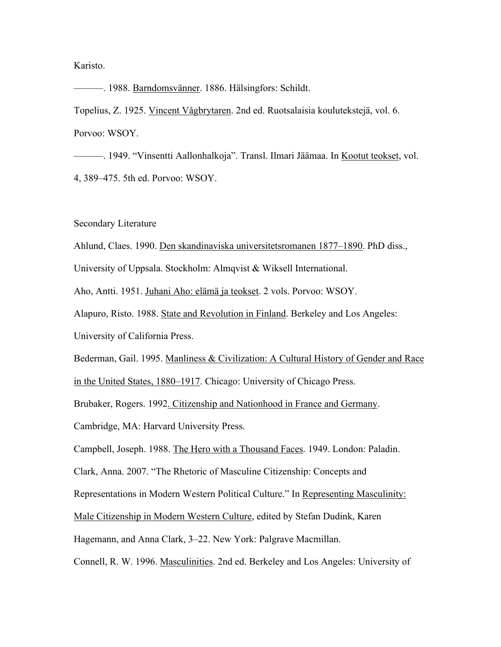## Karisto.

———. 1988. Barndomsvänner. 1886. Hälsingfors: Schildt.

Topelius, Z. 1925. Vincent Vågbrytaren. 2nd ed. Ruotsalaisia koulutekstejä, vol. 6. Porvoo: WSOY.

———. 1949. "Vinsentti Aallonhalkoja". Transl. Ilmari Jäämaa. In Kootut teokset, vol. 4, 389–475. 5th ed. Porvoo: WSOY.

Secondary Literature

Ahlund, Claes. 1990. Den skandinaviska universitetsromanen 1877–1890. PhD diss.,

University of Uppsala. Stockholm: Almqvist & Wiksell International.

Aho, Antti. 1951. Juhani Aho: elämä ja teokset. 2 vols. Porvoo: WSOY.

Alapuro, Risto. 1988. State and Revolution in Finland. Berkeley and Los Angeles:

University of California Press.

Bederman, Gail. 1995. Manliness & Civilization: A Cultural History of Gender and Race

in the United States, 1880–1917. Chicago: University of Chicago Press.

Brubaker, Rogers. 1992. Citizenship and Nationhood in France and Germany.

Cambridge, MA: Harvard University Press.

Campbell, Joseph. 1988. The Hero with a Thousand Faces. 1949. London: Paladin.

Clark, Anna. 2007. "The Rhetoric of Masculine Citizenship: Concepts and

Representations in Modern Western Political Culture." In Representing Masculinity:

Male Citizenship in Modern Western Culture, edited by Stefan Dudink, Karen

Hagemann, and Anna Clark, 3–22. New York: Palgrave Macmillan.

Connell, R. W. 1996. Masculinities. 2nd ed. Berkeley and Los Angeles: University of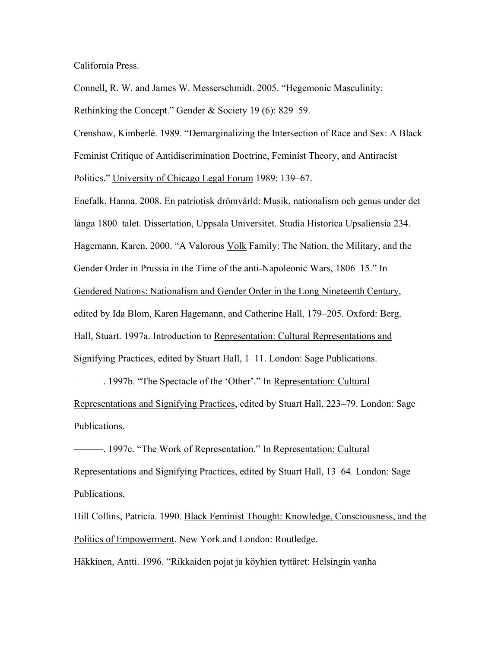California Press.

Connell, R. W. and James W. Messerschmidt. 2005. "Hegemonic Masculinity: Rethinking the Concept." Gender & Society 19 (6): 829–59.

Crenshaw, Kimberlé. 1989. "Demarginalizing the Intersection of Race and Sex: A Black Feminist Critique of Antidiscrimination Doctrine, Feminist Theory, and Antiracist Politics." University of Chicago Legal Forum 1989: 139–67.

Enefalk, Hanna. 2008. En patriotisk drömvärld: Musik, nationalism och genus under det långa 1800–talet. Dissertation, Uppsala Universitet. Studia Historica Upsaliensia 234. Hagemann, Karen. 2000. "A Valorous Volk Family: The Nation, the Military, and the Gender Order in Prussia in the Time of the anti-Napoleonic Wars, 1806–15." In Gendered Nations: Nationalism and Gender Order in the Long Nineteenth Century, edited by Ida Blom, Karen Hagemann, and Catherine Hall, 179–205. Oxford: Berg. Hall, Stuart. 1997a. Introduction to Representation: Cultural Representations and Signifying Practices, edited by Stuart Hall, 1–11. London: Sage Publications. ———. 1997b. "The Spectacle of the 'Other'." In Representation: Cultural Representations and Signifying Practices, edited by Stuart Hall, 223–79. London: Sage Publications.

**-** 1997c. "The Work of Representation." In Representation: Cultural Representations and Signifying Practices, edited by Stuart Hall, 13–64. London: Sage Publications.

Hill Collins, Patricia. 1990. Black Feminist Thought: Knowledge, Consciousness, and the Politics of Empowerment. New York and London: Routledge.

Häkkinen, Antti. 1996. "Rikkaiden pojat ja köyhien tyttäret: Helsingin vanha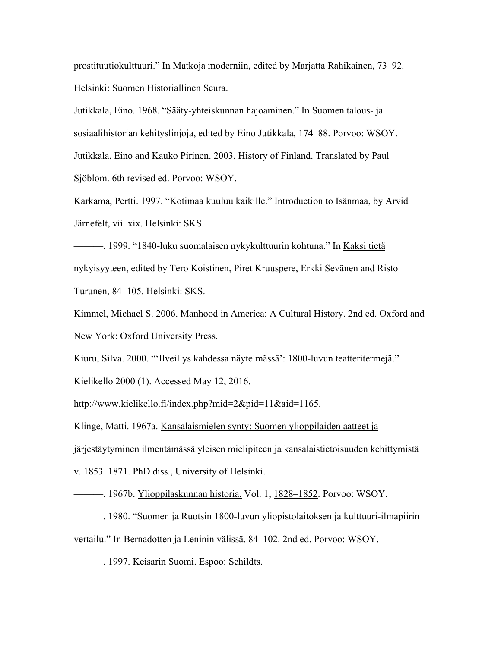prostituutiokulttuuri." In Matkoja moderniin, edited by Marjatta Rahikainen, 73–92. Helsinki: Suomen Historiallinen Seura.

Jutikkala, Eino. 1968. "Sääty-yhteiskunnan hajoaminen." In Suomen talous- ja sosiaalihistorian kehityslinjoja, edited by Eino Jutikkala, 174–88. Porvoo: WSOY. Jutikkala, Eino and Kauko Pirinen. 2003. History of Finland. Translated by Paul Sjöblom. 6th revised ed. Porvoo: WSOY.

Karkama, Pertti. 1997. "Kotimaa kuuluu kaikille." Introduction to Isänmaa, by Arvid Järnefelt, vii–xix. Helsinki: SKS.

———. 1999. "1840-luku suomalaisen nykykulttuurin kohtuna." In Kaksi tietä nykyisyyteen, edited by Tero Koistinen, Piret Kruuspere, Erkki Sevänen and Risto Turunen, 84–105. Helsinki: SKS.

Kimmel, Michael S. 2006. Manhood in America: A Cultural History. 2nd ed. Oxford and New York: Oxford University Press.

Kiuru, Silva. 2000. "'Ilveillys kahdessa näytelmässä': 1800-luvun teatteritermejä."

Kielikello 2000 (1). Accessed May 12, 2016.

http://www.kielikello.fi/index.php?mid=2&pid=11&aid=1165.

Klinge, Matti. 1967a. Kansalaismielen synty: Suomen ylioppilaiden aatteet ja

järjestäytyminen ilmentämässä yleisen mielipiteen ja kansalaistietoisuuden kehittymistä

v. 1853–1871. PhD diss., University of Helsinki.

———. 1967b. Ylioppilaskunnan historia. Vol. 1, 1828–1852. Porvoo: WSOY.

- ———. 1980. "Suomen ja Ruotsin 1800-luvun yliopistolaitoksen ja kulttuuri-ilmapiirin
- vertailu." In Bernadotten ja Leninin välissä, 84–102. 2nd ed. Porvoo: WSOY.

**-** 1997. Keisarin Suomi. Espoo: Schildts.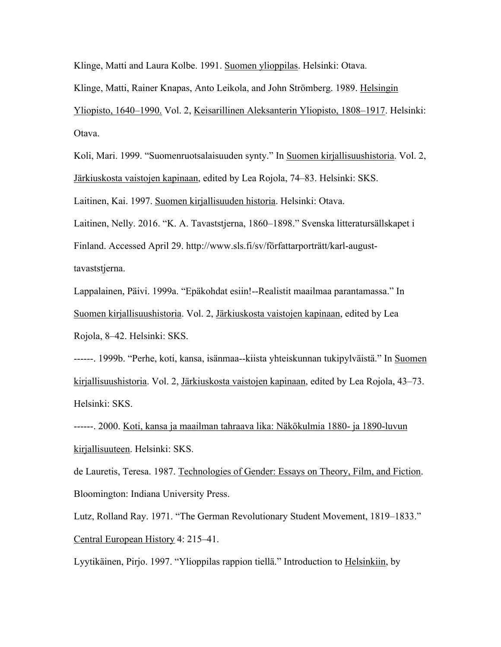Klinge, Matti and Laura Kolbe. 1991. Suomen ylioppilas. Helsinki: Otava.

Klinge, Matti, Rainer Knapas, Anto Leikola, and John Strömberg. 1989. Helsingin

Yliopisto, 1640–1990. Vol. 2, Keisarillinen Aleksanterin Yliopisto, 1808–1917. Helsinki: Otava.

Koli, Mari. 1999. "Suomenruotsalaisuuden synty." In Suomen kirjallisuushistoria. Vol. 2, Järkiuskosta vaistojen kapinaan, edited by Lea Rojola, 74–83. Helsinki: SKS.

Laitinen, Kai. 1997. Suomen kirjallisuuden historia. Helsinki: Otava.

Laitinen, Nelly. 2016. "K. A. Tavaststjerna, 1860–1898." Svenska litteratursällskapet i Finland. Accessed April 29. http://www.sls.fi/sv/författarporträtt/karl-augusttavaststjerna.

Lappalainen, Päivi. 1999a. "Epäkohdat esiin!--Realistit maailmaa parantamassa." In Suomen kirjallisuushistoria. Vol. 2, Järkiuskosta vaistojen kapinaan, edited by Lea Rojola, 8–42. Helsinki: SKS.

------. 1999b. "Perhe, koti, kansa, isänmaa--kiista yhteiskunnan tukipylväistä." In Suomen kirjallisuushistoria. Vol. 2, Järkiuskosta vaistojen kapinaan, edited by Lea Rojola, 43–73. Helsinki: SKS.

------. 2000. Koti, kansa ja maailman tahraava lika: Näkökulmia 1880- ja 1890-luvun kirjallisuuteen. Helsinki: SKS.

de Lauretis, Teresa. 1987. Technologies of Gender: Essays on Theory, Film, and Fiction. Bloomington: Indiana University Press.

Lutz, Rolland Ray. 1971. "The German Revolutionary Student Movement, 1819–1833." Central European History 4: 215–41.

Lyytikäinen, Pirjo. 1997. "Ylioppilas rappion tiellä." Introduction to Helsinkiin, by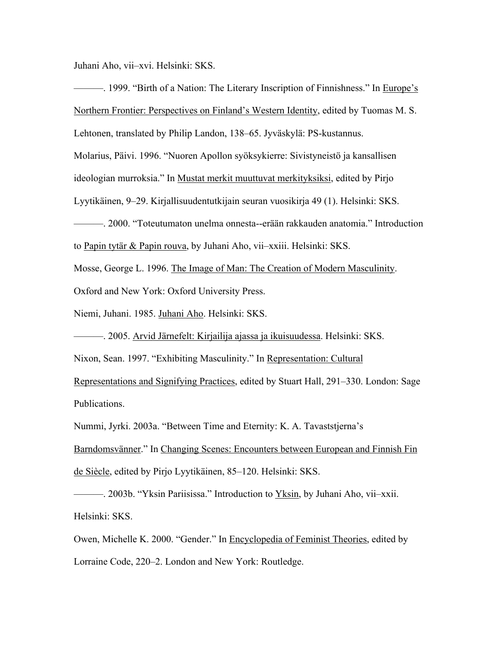Juhani Aho, vii–xvi. Helsinki: SKS.

———. 1999. "Birth of a Nation: The Literary Inscription of Finnishness." In Europe's Northern Frontier: Perspectives on Finland's Western Identity, edited by Tuomas M. S. Lehtonen, translated by Philip Landon, 138–65. Jyväskylä: PS-kustannus. Molarius, Päivi. 1996. "Nuoren Apollon syöksykierre: Sivistyneistö ja kansallisen ideologian murroksia." In Mustat merkit muuttuvat merkityksiksi, edited by Pirjo Lyytikäinen, 9–29. Kirjallisuudentutkijain seuran vuosikirja 49 (1). Helsinki: SKS. ———. 2000. "Toteutumaton unelma onnesta--erään rakkauden anatomia." Introduction to Papin tytär & Papin rouva, by Juhani Aho, vii–xxiii. Helsinki: SKS. Mosse, George L. 1996. The Image of Man: The Creation of Modern Masculinity.

Oxford and New York: Oxford University Press.

Niemi, Juhani. 1985. Juhani Aho. Helsinki: SKS.

———. 2005. Arvid Järnefelt: Kirjailija ajassa ja ikuisuudessa. Helsinki: SKS.

Nixon, Sean. 1997. "Exhibiting Masculinity." In Representation: Cultural

Representations and Signifying Practices, edited by Stuart Hall, 291–330. London: Sage Publications.

Nummi, Jyrki. 2003a. "Between Time and Eternity: K. A. Tavaststjerna's

Barndomsvänner." In Changing Scenes: Encounters between European and Finnish Fin de Siècle, edited by Pirjo Lyytikäinen, 85–120. Helsinki: SKS.

———. 2003b. "Yksin Pariisissa." Introduction to Yksin, by Juhani Aho, vii–xxii. Helsinki: SKS.

Owen, Michelle K. 2000. "Gender." In Encyclopedia of Feminist Theories, edited by Lorraine Code, 220–2. London and New York: Routledge.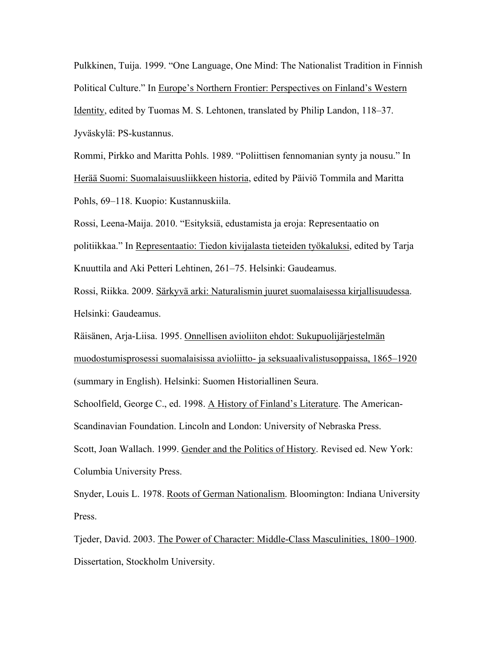Pulkkinen, Tuija. 1999. "One Language, One Mind: The Nationalist Tradition in Finnish Political Culture." In Europe's Northern Frontier: Perspectives on Finland's Western Identity, edited by Tuomas M. S. Lehtonen, translated by Philip Landon, 118–37. Jyväskylä: PS-kustannus.

Rommi, Pirkko and Maritta Pohls. 1989. "Poliittisen fennomanian synty ja nousu." In Herää Suomi: Suomalaisuusliikkeen historia, edited by Päiviö Tommila and Maritta Pohls, 69–118. Kuopio: Kustannuskiila.

Rossi, Leena-Maija. 2010. "Esityksiä, edustamista ja eroja: Representaatio on politiikkaa." In Representaatio: Tiedon kivijalasta tieteiden työkaluksi, edited by Tarja Knuuttila and Aki Petteri Lehtinen, 261–75. Helsinki: Gaudeamus.

Rossi, Riikka. 2009. Särkyvä arki: Naturalismin juuret suomalaisessa kirjallisuudessa. Helsinki: Gaudeamus.

Räisänen, Arja-Liisa. 1995. Onnellisen avioliiton ehdot: Sukupuolijärjestelmän muodostumisprosessi suomalaisissa avioliitto- ja seksuaalivalistusoppaissa, 1865–1920 (summary in English). Helsinki: Suomen Historiallinen Seura.

Schoolfield, George C., ed. 1998. A History of Finland's Literature. The American-Scandinavian Foundation. Lincoln and London: University of Nebraska Press. Scott, Joan Wallach. 1999. Gender and the Politics of History. Revised ed. New York: Columbia University Press.

Snyder, Louis L. 1978. Roots of German Nationalism. Bloomington: Indiana University Press.

Tjeder, David. 2003. The Power of Character: Middle-Class Masculinities, 1800–1900. Dissertation, Stockholm University.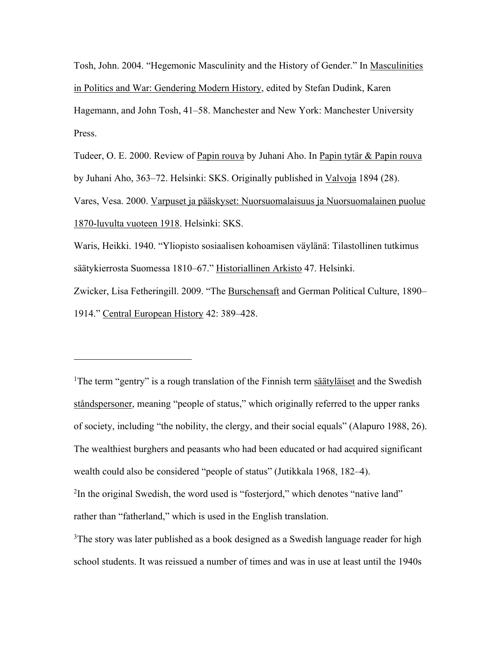Tosh, John. 2004. "Hegemonic Masculinity and the History of Gender." In Masculinities in Politics and War: Gendering Modern History, edited by Stefan Dudink, Karen Hagemann, and John Tosh, 41–58. Manchester and New York: Manchester University Press.

Tudeer, O. E. 2000. Review of Papin rouva by Juhani Aho. In Papin tytär & Papin rouva by Juhani Aho, 363–72. Helsinki: SKS. Originally published in Valvoja 1894 (28).

Vares, Vesa. 2000. Varpuset ja pääskyset: Nuorsuomalaisuus ja Nuorsuomalainen puolue 1870-luvulta vuoteen 1918. Helsinki: SKS.

Waris, Heikki. 1940. "Yliopisto sosiaalisen kohoamisen väylänä: Tilastollinen tutkimus säätykierrosta Suomessa 1810–67." Historiallinen Arkisto 47. Helsinki.

Zwicker, Lisa Fetheringill. 2009. "The Burschensaft and German Political Culture, 1890– 1914." Central European History 42: 389–428.

<sup>1</sup>The term "gentry" is a rough translation of the Finnish term säätyläiset and the Swedish ståndspersoner, meaning "people of status," which originally referred to the upper ranks of society, including "the nobility, the clergy, and their social equals" (Alapuro 1988, 26). The wealthiest burghers and peasants who had been educated or had acquired significant wealth could also be considered "people of status" (Jutikkala 1968, 182–4). <sup>2</sup>In the original Swedish, the word used is "fosterjord," which denotes "native land"

rather than "fatherland," which is used in the English translation.

<sup>3</sup>The story was later published as a book designed as a Swedish language reader for high school students. It was reissued a number of times and was in use at least until the 1940s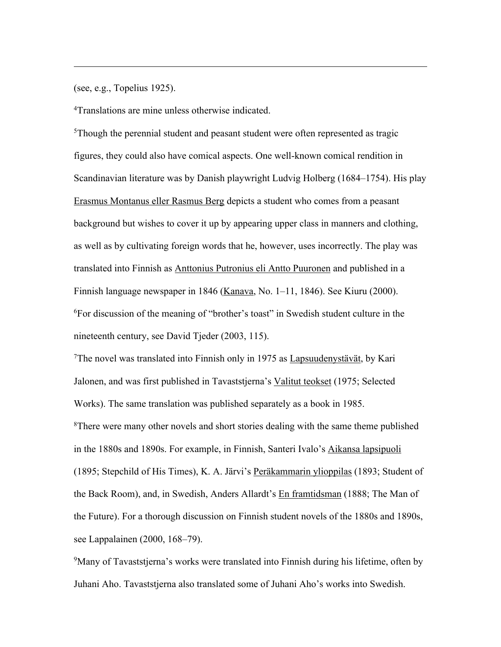(see, e.g., Topelius 1925).

4Translations are mine unless otherwise indicated.

<sup>5</sup>Though the perennial student and peasant student were often represented as tragic figures, they could also have comical aspects. One well-known comical rendition in Scandinavian literature was by Danish playwright Ludvig Holberg (1684–1754). His play Erasmus Montanus eller Rasmus Berg depicts a student who comes from a peasant background but wishes to cover it up by appearing upper class in manners and clothing, as well as by cultivating foreign words that he, however, uses incorrectly. The play was translated into Finnish as Anttonius Putronius eli Antto Puuronen and published in a Finnish language newspaper in 1846 (Kanava, No.  $1-11$ , 1846). See Kiuru (2000). 6For discussion of the meaning of "brother's toast" in Swedish student culture in the nineteenth century, see David Tjeder (2003, 115).

<sup>7</sup>The novel was translated into Finnish only in 1975 as  $Lapsuudenystävät, by Kari$ Jalonen, and was first published in Tavaststjerna's Valitut teokset (1975; Selected Works). The same translation was published separately as a book in 1985. <sup>8</sup>There were many other novels and short stories dealing with the same theme published in the 1880s and 1890s. For example, in Finnish, Santeri Ivalo's Aikansa lapsipuoli (1895; Stepchild of His Times), K. A. Järvi's Peräkammarin ylioppilas (1893; Student of the Back Room), and, in Swedish, Anders Allardt's En framtidsman (1888; The Man of the Future). For a thorough discussion on Finnish student novels of the 1880s and 1890s, see Lappalainen (2000, 168–79).

<sup>9</sup>Many of Tavaststjerna's works were translated into Finnish during his lifetime, often by Juhani Aho. Tavaststjerna also translated some of Juhani Aho's works into Swedish.